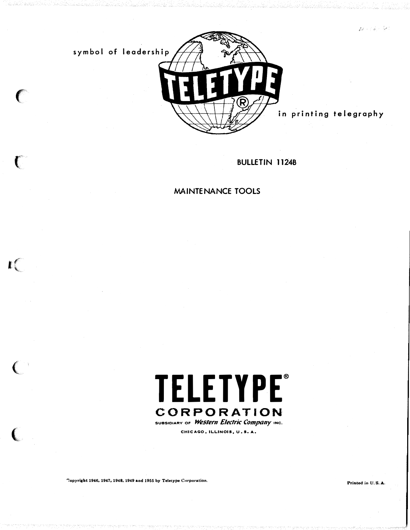

O

 $\mathbf{C}$ 

 $\mathbf{I}$ 

 $\mathcal{C}$ 

in printing telegraphy

**BULLETIN 1124B** 

**MAINTENANCE TOOLS** 



CHICAGO, ILLINOIS, U.S.A.

Copyright 1946, 1947, 1948, 1949 and 1955 by Teletype Corporation.

Printed in U.S.A.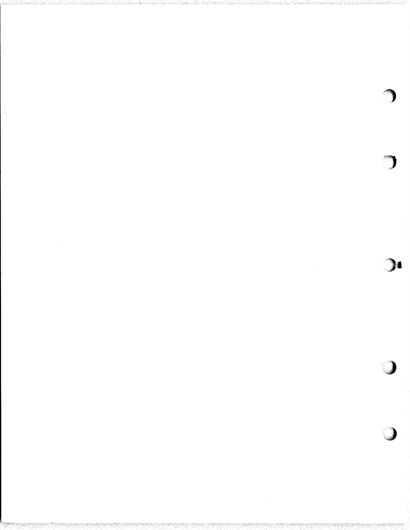

THE REPORT OF THE REPORT OF THE REPORT OF THE REPORT OF THE REPORT OF THE REPORT OF THE REPORT OF THE REPORT O<br>THE REPORT OF THE REPORT OF THE REPORT OF THE REPORT OF THE REPORT OF THE REPORT OF THE REPORT OF THE REPORT OF

an an a

**STERROOM**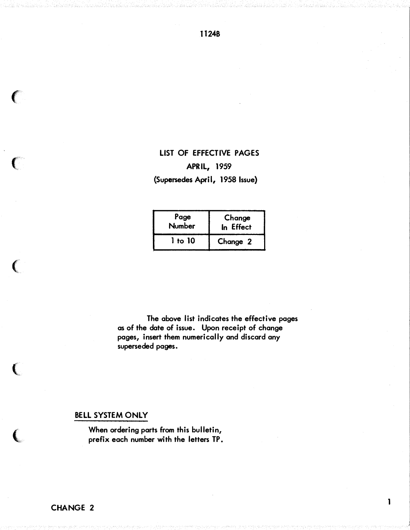LIST OF EFFECTIVE PAGES APRIL, 1959 {Supersedes April, 1958 Issue)

| Page          | Change    |  |
|---------------|-----------|--|
| <b>Number</b> | In Effect |  |
| 1 to 10       | Change 2  |  |

The above list indicates the effective pages as of the date of issue. Upon receipt of change pages, insert them numerically and discard any superseded pages.

# BELL SYSTEM ONLY

When ordering parts from this bulletin, prefix each number with the letters TP.

 $\big($ 

 $\mathbf C$ 

 $\big($ 

 $\big($ 

 $\big($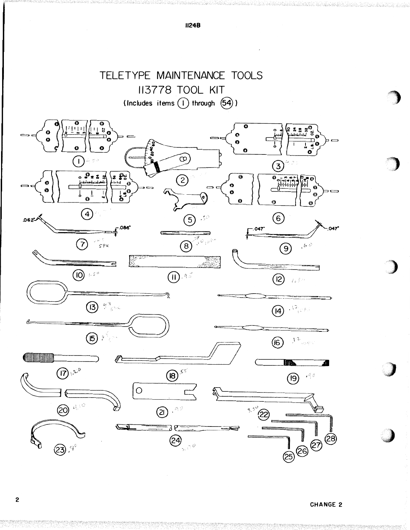

**CHANGE 2** 

 $II24B$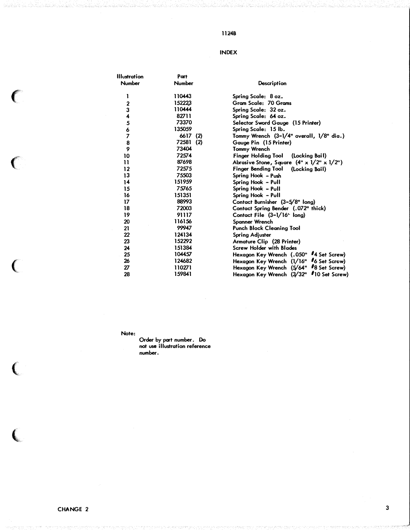## INDEX

| <b>Illustration</b>                               | Part          |                                                          |  |  |  |
|---------------------------------------------------|---------------|----------------------------------------------------------|--|--|--|
| <b>Number</b>                                     | <b>Number</b> | Description                                              |  |  |  |
| 1                                                 | 110443        | Spring Scale: 8 oz.                                      |  |  |  |
|                                                   | 152223        | Gram Scale: 70 Grams                                     |  |  |  |
|                                                   | 110444        | Spring Scale: 32 oz.                                     |  |  |  |
|                                                   | 82711         | Spring Scale: 64 oz.                                     |  |  |  |
| $\begin{array}{c}\n2 \\ 3 \\ 4 \\ 5\n\end{array}$ | 73370         | Selector Sword Gauge (15 Printer)                        |  |  |  |
| $\frac{6}{7}$                                     | 135059        | Spring Scale: 15 lb.                                     |  |  |  |
|                                                   | 6617 (2)      | Tommy Wrench (3-1/4" overall, 1/8" dia.)                 |  |  |  |
| 8                                                 | 72581<br>(2)  | Gauge Pin (15 Printer)                                   |  |  |  |
| 9                                                 | 73404         | <b>Tommy Wrench</b>                                      |  |  |  |
| 10                                                | 72574         | (Locking Bail)<br>Finger Holding Tool                    |  |  |  |
| 11                                                | 87698         | Abrasive Stone, Square $(4^n \times 1/2^n \times 1/2^n)$ |  |  |  |
| 12                                                | 72575         | Finger Bending Tool<br>(Locking Bail)                    |  |  |  |
| 13                                                | 75503         | Spring Hook - Push                                       |  |  |  |
| 14                                                | 151959        | Spring Hook - Pull                                       |  |  |  |
| 15                                                | 75765         | Spring Hook - Pull                                       |  |  |  |
| 16                                                | 151351        | Spring Hook - Pull                                       |  |  |  |
| 17                                                | 88993         | Contact Burnisher (3-5/8" long)                          |  |  |  |
| 18                                                | 72003         | Contact Spring Bender (.072" thick)                      |  |  |  |
| 19                                                | 91117         | Contact File (3–1/16 <sup>th</sup> long)                 |  |  |  |
| 20                                                | 116156        | Spanner Wrench                                           |  |  |  |
| 21                                                | 99947         | <b>Punch Block Cleaning Tool</b>                         |  |  |  |
| 22                                                | 124134        | Spring Adjuster                                          |  |  |  |
| 23                                                | 152292        | Armature Clip (28 Printer)                               |  |  |  |
| 24                                                | 151384        | <b>Screw Holder with Blades</b>                          |  |  |  |
| 25                                                | 104457        | Hexagon Key Wrench (.050" #4 Set Screw)                  |  |  |  |
| 26                                                | 124682        | Hexagon Key Wrench (1/16" #6 Set Screw)                  |  |  |  |
| $\boldsymbol{\mathit{Z}}$                         | 110271        | Hexagon Key Wrench (5/64" #8 Set Screw)                  |  |  |  |
| 28                                                | 159841        | Hexagon Key Wrench (3/32" #10 Set Screw)                 |  |  |  |

Note:

Order by part number. Do not use illustration reference number.

 $\epsilon$ 

 $\big($ 

 $\epsilon$ 

(

 $\overline{C}$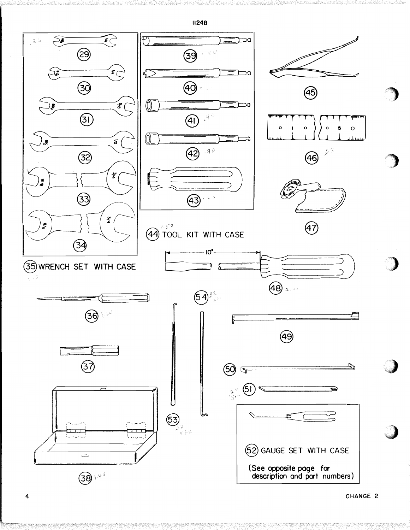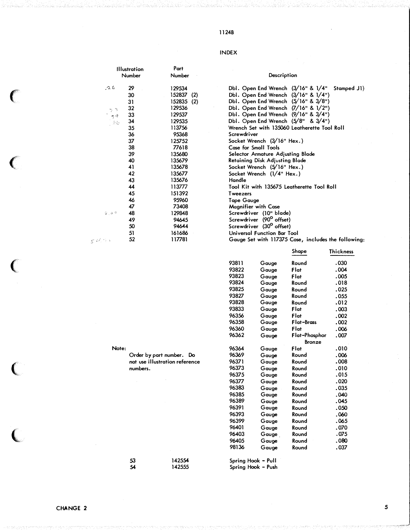### 1124B

#### INDEX

#### Illustration Part<br>Number Number Description ·"-" 29 129534 Obi. Open End Wrench (3/16" & 1/4" Stamped Jl) 30 152837 (2) Obi. Open End Wrench (3/16" & 1/4") 31 152835 (2) Obi. Open End Wrench (5/16" & 3/8") -� 32 129536 Obi. Open End Wrench (7/16" & 1/2") الم به الكتاب التي التي التي ينتشر التي ينتشر التي ينتشر التي ينتشر التي ينتشر التي ينتشر التي ينتشر التي التي<br>أكثر التي التي التي التي ينتشر التي ينتشر التي ينتشر التي ينتشر التي ينتشر التي ينتشر التي ينتشر التي ينتشر ال 34 129535 Obi. Open End Wrench (5/8" & 3/4") 35 113756 Wrench Set with 135060 Leatherette Tool Roll 36 95368 Screwdriver 37 125752 Socket Wrench (3/16" Hex.)<br>38 17618 Case for Small Tools 38 77618 Case for Small Tools 39 135680 Selector Armature Adjusting Blade 40 135679 Retaining Disk Adjusting Blade 41 135678 Socket Wrench (5/16" Hex.)<br>42 135677 Socket Wrench (1/4" Hex.) 42 135677 Socket Wrench (1/ 4" Hex.) 43 135676<br>44 113777 44 113777 11377 Tool Kit with 135675 Leatherette Tool Roll<br>45 151392 Tweezers 45 151392 Tweezers 46 95960 Tape Gauge 73408 Magnifier with Case ः <sup>ः 48</sup> 129848 Screwdriver (10" blade) 49 94645 Screwdriver (90° offset) 50 94644 Screwdriver (30° offset) Universal Function Bar Tool  $54.55$ 52 117781 Gauge Set with 117375 Cose, includes the following:

|       |                                |       |       | Shape         | Thickness |
|-------|--------------------------------|-------|-------|---------------|-----------|
|       |                                | 93811 | Gauge | Round         | .030      |
|       |                                | 93822 | Gauge | Flat          | .004      |
|       |                                | 93823 | Gauge | Flat          | .005      |
|       |                                | 93824 | Gauge | Round         | .018      |
|       |                                | 93825 | Gauge | Round         | .025      |
|       |                                | 93827 | Gauge | Round         | .055      |
|       |                                | 93828 | Gauge | Round         | .012      |
|       |                                | 93833 | Gauge | Flat          | .003      |
|       |                                | 96356 | Gauge | Flat          | .002      |
|       |                                | 96358 | Gauge | Flat-Brass    | .002      |
|       |                                | 96360 | Gauge | Flat          | .006      |
|       |                                | 96362 | Gauge | Flat-Phosphor | .007      |
|       |                                |       |       | <b>Bronze</b> |           |
| Note: |                                | 96364 | Gauge | Flat          | .010      |
|       | Order by part number. Do       | 96369 | Gauge | Round         | .006      |
|       | nat use illustration reference | 96371 | Gauge | Round         | .008      |
|       | numbers.                       | 96373 | Gauge | Round         | .010      |
|       |                                | 96375 | Gauge | Round         | .015      |
|       |                                | 96377 | Gauge | Round         | .020      |
|       |                                | 96383 | Gauge | Round         | .035      |
|       |                                | 96385 | Gauge | Round         | .040      |
|       |                                | 96389 | Gauge | Round         | .045      |
|       |                                | 96391 | Gauge | Round         | .050      |
|       |                                | 96393 | Gauge | Round         | .060      |
|       |                                | 96399 | Gauge | Round         | .065      |
|       |                                | 96401 | Gauge | Round         | .070      |
|       |                                | 96403 | Gauge | Round         | .075      |
|       |                                | 96405 | Gauge | Round         | .080      |
|       |                                | 98136 | Gauge | Round         | .037      |
|       |                                |       |       |               |           |

 $\ddot{\phantom{a}}$ 

53 142554 Spring Hook - Pull 142555 Spring Hook - Push

 $C$ HANGE 2 5

 $\big($ 

 $\big($ 

 $\big($ 

 $\big($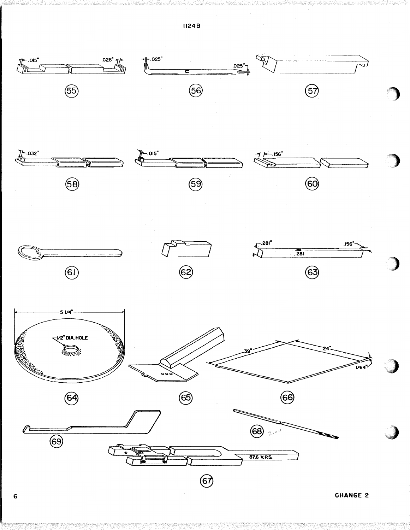

**CHANGE 2** 

 $\epsilon$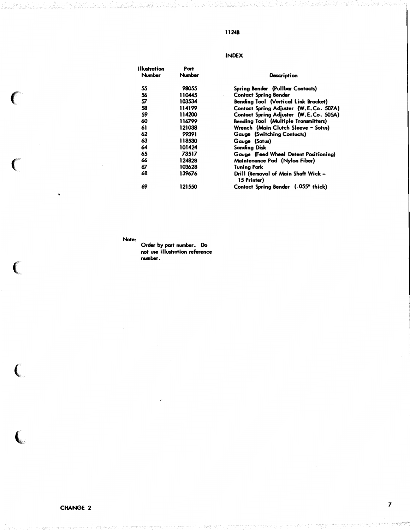## 112-48

## INDEX

| <b>Illustration</b><br><b>Number</b> | Part<br><b>Number</b> | Description                                        |
|--------------------------------------|-----------------------|----------------------------------------------------|
|                                      |                       |                                                    |
| 55                                   | 98055                 | Spring Bender (Pullbar Contacts)                   |
| 56                                   | 110445                | <b>Contact Spring Bender</b>                       |
| 57                                   | 103534                | Bending Tool (Vertical Link Bracket)               |
| 58                                   | 114199                | Contact Spring Adjuster (W.E.Co. 507A)             |
| 59                                   | 114200                | Contact Spring Adjuster (W.E.Co. 505A)             |
| 60                                   | 116799                | <b>Bending Tool (Multiple Transmitters)</b>        |
| 61                                   | 121038                | Wrench (Main Clutch Sleeve - Sotus)                |
| 62                                   | 99391                 | Gauge (Switching Contacts)                         |
| 63                                   | 118530                | Gauge (Sotus)                                      |
| 64                                   | 101424                | Sanding Disk                                       |
| 65                                   | 73517                 | Gauge (Feed Wheel Detent Positioning)              |
| 66                                   | 124828                | Maintenance Pad (Nylon Fiber)                      |
| 67                                   | 103628                | Tuning Fork                                        |
| 68                                   | 139676                | Drill (Removal of Main Shaft Wick –<br>15 Printer) |
| 69                                   | 121550                | Contact Spring Bender (.055" thick)                |

Note:

 $\big($ 

€

 $\overline{C}$ 

 $\bigcap$ 

Order by part number. Da nat use illustration reference number.

CHANGE 2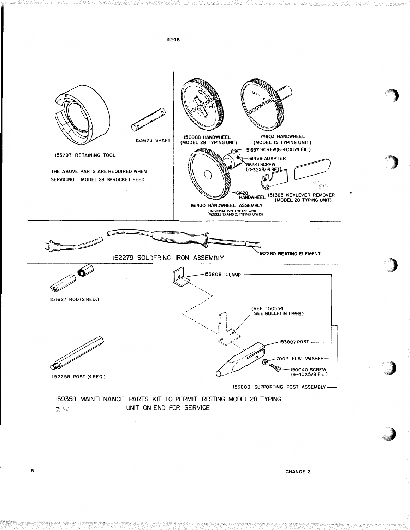

CHANGE 2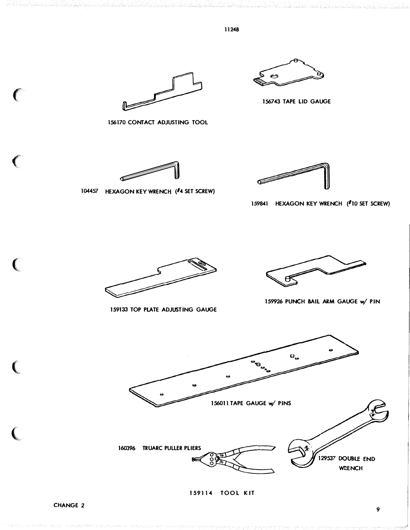



156170 CONTACT ADJUSTING TOOL



159841 HEXAGON KEY WRENCH ( # 10 SET SCREW}



104457 HEXAGON KEY WRENCH (<sup>#</sup>4 SET SCREW)



159926 PUNCH BAIL ARM GAUGE w/ PIN



159133 TOP PLATE ADJUSTING GAUGE



159114 TOOL KIT

**CONTRACTOR** 

€